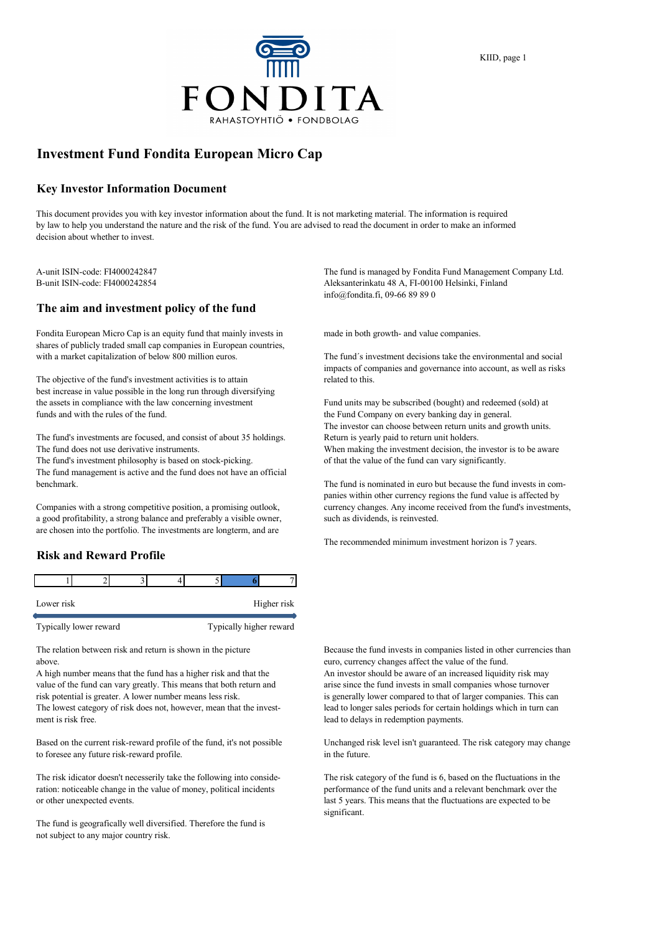

## **Investment Fund Fondita European Micro Cap**

### **Key Investor Information Document**

This document provides you with key investor information about the fund. It is not marketing material. The information is required by law to help you understand the nature and the risk of the fund. You are advised to read the document in order to make an informed decision about whether to invest.

#### **The aim and investment policy of the fund**

Fondita European Micro Cap is an equity fund that mainly invests in made in both growth- and value companies. shares of publicly traded small cap companies in European countries, with a market capitalization of below 800 million euros. The fund's investment decisions take the environmental and social

The objective of the fund's investment activities is to attain related to this. best increase in value possible in the long run through diversifying the assets in compliance with the law concerning investment Fund units may be subscribed (bought) and redeemed (sold) at funds and with the rules of the fund. the Fund Company on every banking day in general.

The fund's investments are focused, and consist of about 35 holdings. Return is yearly paid to return unit holders. The fund does not use derivative instruments. When making the investment decision, the investor is to be aware

The fund's investment philosophy is based on stock-picking. of that the value of the fund can vary significantly.

The fund management is active and the fund does not have an official benchmark. The fund is nominated in euro but because the fund invests in com-

a good profitability, a strong balance and preferably a visible owner, such as dividends, is reinvested. are chosen into the portfolio. The investments are longterm, and are

## **Risk and Reward Profile**

| Lower risk             |  |  |  |                         | Higher risk |
|------------------------|--|--|--|-------------------------|-------------|
| Typically lower reward |  |  |  | Typically higher reward |             |

above. euro, currency changes affect the value of the fund.

value of the fund can vary greatly. This means that both return and arise since the fund invests in small companies whose turnover risk potential is greater. A lower number means less risk. is generally lower compared to that of larger companies. This can The lowest category of risk does not, however, mean that the invest- lead to longer sales periods for certain holdings which in turn can ment is risk free. lead to delays in redemption payments.

Based on the current risk-reward profile of the fund, it's not possible Unchanged risk level isn't guaranteed. The risk category may change to foresee any future risk-reward profile.  $\qquad \qquad$  in the future.

ration: noticeable change in the value of money, political incidents performance of the fund units and a relevant benchmark over the or other unexpected events. last 5 years. This means that the fluctuations are expected to be

The fund is geografically well diversified. Therefore the fund is not subject to any major country risk.

A-unit ISIN-code: FI4000242847 The fund is managed by Fondita Fund Management Company Ltd. B-unit ISIN-code: FI4000242854 Aleksanterinkatu 48 A, FI-00100 Helsinki, Finland info@fondita.fi, 09-66 89 89 0

impacts of companies and governance into account, as well as risks

The investor can choose between return units and growth units.

panies within other currency regions the fund value is affected by Companies with a strong competitive position, a promising outlook, currency changes. Any income received from the fund's investments,

The recommended minimum investment horizon is 7 years.

The relation between risk and return is shown in the picture Because the fund invests in companies listed in other currencies than A high number means that the fund has a higher risk and that the An investor should be aware of an increased liquidity risk may

The risk idicator doesn't necesserily take the following into conside- The risk category of the fund is 6, based on the fluctuations in the significant.